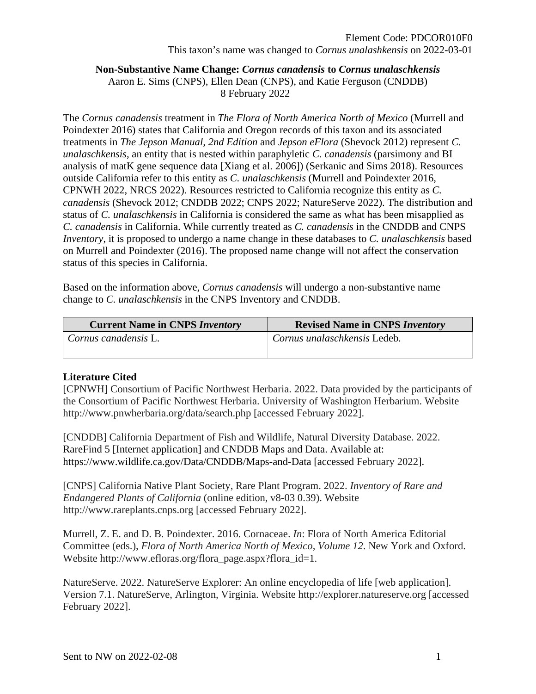## **Non-Substantive Name Change:** *Cornus canadensis* **to** *Cornus unalaschkensis* Aaron E. Sims (CNPS), Ellen Dean (CNPS), and Katie Ferguson (CNDDB) 8 February 2022

The *Cornus canadensis* treatment in *The Flora of North America North of Mexico* (Murrell and Poindexter 2016) states that California and Oregon records of this taxon and its associated treatments in *The Jepson Manual, 2nd Edition* and *Jepson eFlora* (Shevock 2012) represent *C. unalaschkensis*, an entity that is nested within paraphyletic *C. canadensis* (parsimony and BI analysis of matK gene sequence data [Xiang et al. 2006]) (Serkanic and Sims 2018). Resources outside California refer to this entity as *C. unalaschkensis* (Murrell and Poindexter 2016, CPNWH 2022, NRCS 2022). Resources restricted to California recognize this entity as *C. canadensis* (Shevock 2012; CNDDB 2022; CNPS 2022; NatureServe 2022). The distribution and status of *C. unalaschkensis* in California is considered the same as what has been misapplied as *C. canadensis* in California. While currently treated as *C. canadensis* in the CNDDB and CNPS *Inventory*, it is proposed to undergo a name change in these databases to *C. unalaschkensis* based on Murrell and Poindexter (2016). The proposed name change will not affect the conservation status of this species in California.

Based on the information above, *Cornus canadensis* will undergo a non-substantive name change to *C. unalaschkensis* in the CNPS Inventory and CNDDB.

| <b>Current Name in CNPS Inventory</b> | <b>Revised Name in CNPS Inventory</b> |
|---------------------------------------|---------------------------------------|
| Cornus canadensis L.                  | Cornus unalaschkensis Ledeb.          |

## **Literature Cited**

[CPNWH] Consortium of Pacific Northwest Herbaria. 2022. Data provided by the participants of the Consortium of Pacific Northwest Herbaria. University of Washington Herbarium. Website http://www.pnwherbaria.org/data/search.php [accessed February 2022].

[CNDDB] California Department of Fish and Wildlife, Natural Diversity Database. 2022. RareFind 5 [Internet application] and CNDDB Maps and Data. Available at: https://www.wildlife.ca.gov/Data/CNDDB/Maps-and-Data [accessed February 2022].

[CNPS] California Native Plant Society, Rare Plant Program. 2022. *Inventory of Rare and Endangered Plants of California* (online edition, v8-03 0.39). Website http://www.rareplants.cnps.org [accessed February 2022].

Murrell, Z. E. and D. B. Poindexter. 2016. Cornaceae. *In*: Flora of North America Editorial Committee (eds.), *Flora of North America North of Mexico, Volume 12*. New York and Oxford. Website http://www.efloras.org/flora\_page.aspx?flora\_id=1.

NatureServe. 2022. NatureServe Explorer: An online encyclopedia of life [web application]. Version 7.1. NatureServe, Arlington, Virginia. Website http://explorer.natureserve.org [accessed February 2022].